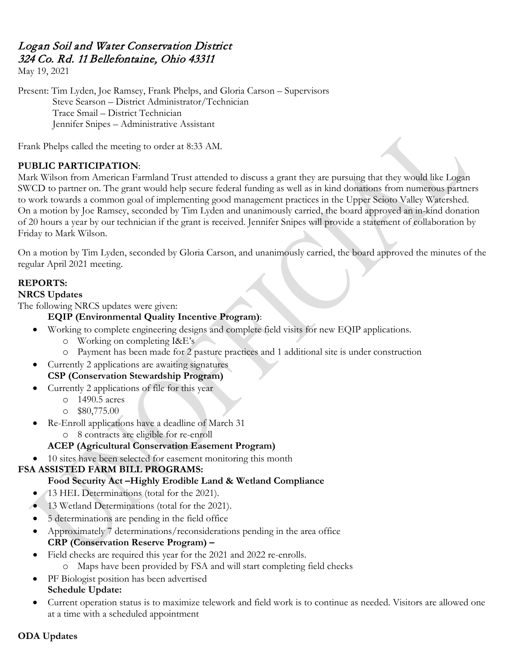### Logan Soil and Water Conservation District 324 Co. Rd. 11 Bellefontaine, Ohio 43311

May 19, 2021

Present: Tim Lyden, Joe Ramsey, Frank Phelps, and Gloria Carson – Supervisors Steve Searson – District Administrator/Technician Trace Smail – District Technician Jennifer Snipes – Administrative Assistant

Frank Phelps called the meeting to order at 8:33 AM.

### **PUBLIC PARTICIPATION**:

Mark Wilson from American Farmland Trust attended to discuss a grant they are pursuing that they would like Logan SWCD to partner on. The grant would help secure federal funding as well as in kind donations from numerous partners to work towards a common goal of implementing good management practices in the Upper Scioto Valley Watershed. On a motion by Joe Ramsey, seconded by Tim Lyden and unanimously carried, the board approved an in-kind donation of 20 hours a year by our technician if the grant is received. Jennifer Snipes will provide a statement of collaboration by Friday to Mark Wilson.

On a motion by Tim Lyden, seconded by Gloria Carson, and unanimously carried, the board approved the minutes of the regular April 2021 meeting.

### **REPORTS:**

#### **NRCS Updates**

The following NRCS updates were given:

### **EQIP (Environmental Quality Incentive Program)**:

- Working to complete engineering designs and complete field visits for new EQIP applications.
	- o Working on completing I&E's
	- o Payment has been made for 2 pasture practices and 1 additional site is under construction
- Currently 2 applications are awaiting signatures **CSP (Conservation Stewardship Program)**
- Currently 2 applications of file for this year
	- o 1490.5 acres
	- o \$80,775.00
- Re-Enroll applications have a deadline of March 31 o 8 contracts are eligible for re-enroll

### **ACEP (Agricultural Conservation Easement Program)**

• 10 sites have been selected for easement monitoring this month

# **FSA ASSISTED FARM BILL PROGRAMS:**

### **Food Security Act –Highly Erodible Land & Wetland Compliance**

- 13 HEL Determinations (total for the 2021).
- 13 Wetland Determinations (total for the 2021).
- 5 determinations are pending in the field office
- Approximately 7 determinations/reconsiderations pending in the area office

# **CRP (Conservation Reserve Program) –**

- Field checks are required this year for the 2021 and 2022 re-enrolls.
	- o Maps have been provided by FSA and will start completing field checks
- PF Biologist position has been advertised **Schedule Update:**
- Current operation status is to maximize telework and field work is to continue as needed. Visitors are allowed one at a time with a scheduled appointment

# **ODA Updates**